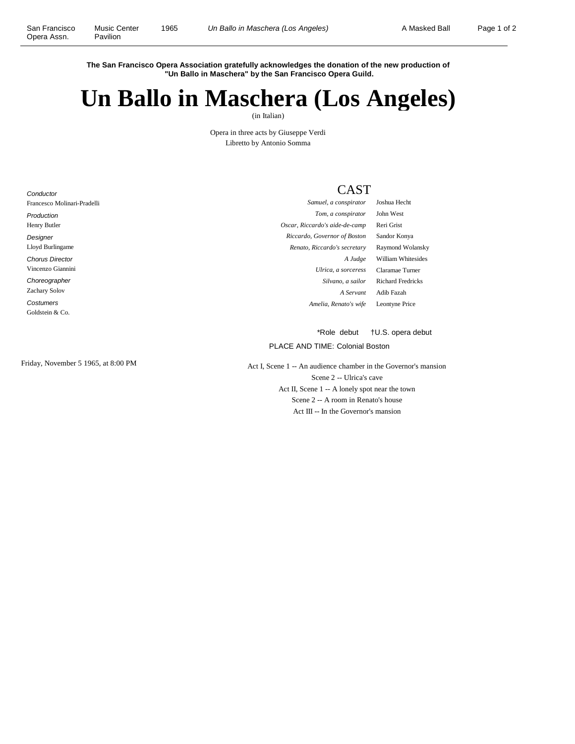**Conductor** 

**The San Francisco Opera Association gratefully acknowledges the donation of the new production of "Un Ballo in Maschera" by the San Francisco Opera Guild.**

## **Un Ballo in Maschera (Los Angeles)**

(in Italian)

Opera in three acts by Giuseppe Verdi Libretto by Antonio Somma

## CAST

| Francesco Molinari-Pradelli | Samuel, a conspirator          | Joshua Hecht             |
|-----------------------------|--------------------------------|--------------------------|
| Production                  | Tom, a conspirator             | John West                |
| Henry Butler                | Oscar, Riccardo's aide-de-camp | Reri Grist               |
| Designer                    | Riccardo, Governor of Boston   | Sandor Konya             |
| Lloyd Burlingame            | Renato, Riccardo's secretary   | Raymond Wolansky         |
| <b>Chorus Director</b>      | A Judge                        | William Whitesides       |
| Vincenzo Giannini           | Ulrica, a sorceress            | Claramae Turner          |
| Choreographer               | Silvano, a sailor              | <b>Richard Fredricks</b> |
| Zachary Solov               | A Servant                      | Adib Fazah               |
| Costumers                   | Amelia, Renato's wife          | Leontyne Price           |
| Goldstein & Co.             |                                |                          |
|                             |                                |                          |

\*Role debut †U.S. opera debut

## PLACE AND TIME: Colonial Boston

Friday, November 5 1965, at 8:00 PM Act I, Scene 1 -- An audience chamber in the Governor's mansion Scene 2 -- Ulrica's cave Act II, Scene 1 -- A lonely spot near the town Scene 2 -- A room in Renato's house Act III -- In the Governor's mansion